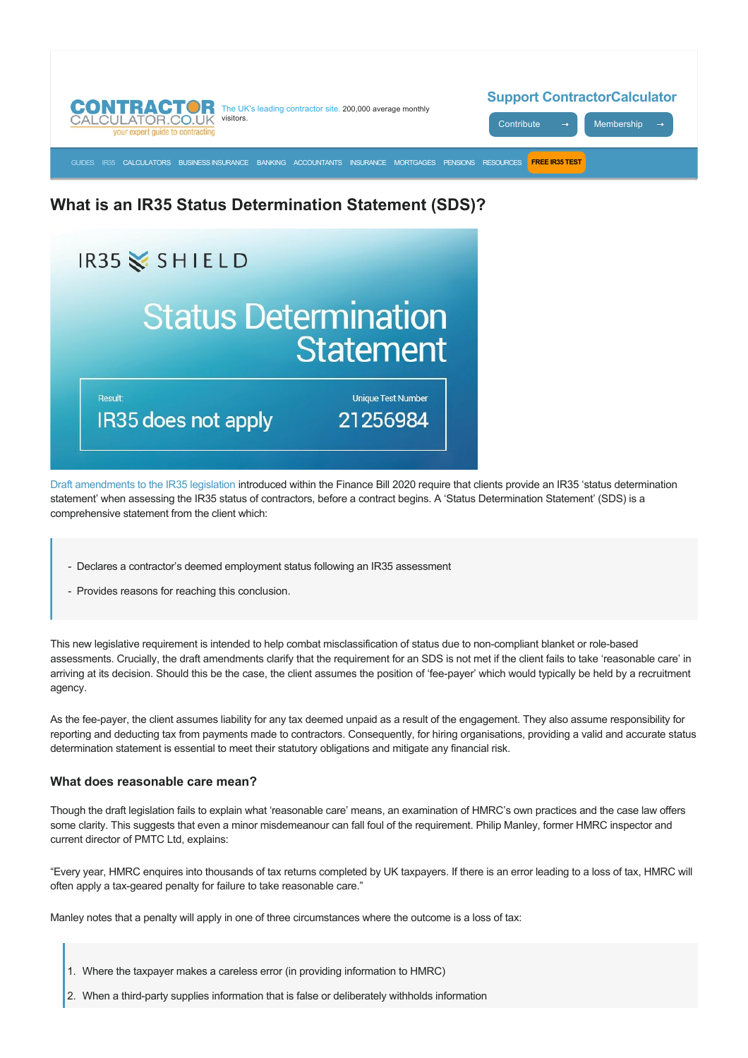

# **What is an IR35 Status Determination Statement (SDS)?**



[Draft amendments to the IR35 legislation](https://assets.publishing.service.gov.uk/government/uploads/system/uploads/attachment_data/file/816295/Rules_for_off-payroll_working_from_April_2020_-_Draft_legislation.pdf) introduced within the Finance Bill 2020 require that clients provide an IR35 'status determination statement' when assessing the IR35 status of contractors, before a contract begins. A 'Status Determination Statement' (SDS) is a comprehensive statement from the client which:

- Declares a contractor's deemed employment status following an IR35 assessment
- Provides reasons for reaching this conclusion.

This new legislative requirement is intended to help combat misclassification of status due to non-compliant blanket or role-based assessments. Crucially, the draft amendments clarify that the requirement for an SDS is not met if the client fails to take 'reasonable care' in arriving at its decision. Should this be the case, the client assumes the position of 'fee-payer' which would typically be held by a recruitment agency.

As the feepayer, the client assumes liability for any tax deemed unpaid as a result of the engagement. They also assume responsibility for reporting and deducting tax from payments made to contractors. Consequently, for hiring organisations, providing a valid and accurate status determination statement is essential to meet their statutory obligations and mitigate any financial risk.

## **What does reasonable care mean?**

Though the draft legislation fails to explain what 'reasonable care' means, an examination of HMRC's own practices and the case law offers some clarity. This suggests that even a minor misdemeanour can fall foul of the requirement. Philip Manley, former HMRC inspector and current director of PMTC Ltd, explains:

"Every year, HMRC enquires into thousands of tax returns completed by UK taxpayers. If there is an error leading to a loss of tax, HMRC will often apply a tax-geared penalty for failure to take reasonable care."

Manley notes that a penalty will apply in one of three circumstances where the outcome is a loss of tax:

- 1. Where the taxpayer makes a careless error (in providing information to HMRC)
- 2. When a third-party supplies information that is false or deliberately withholds information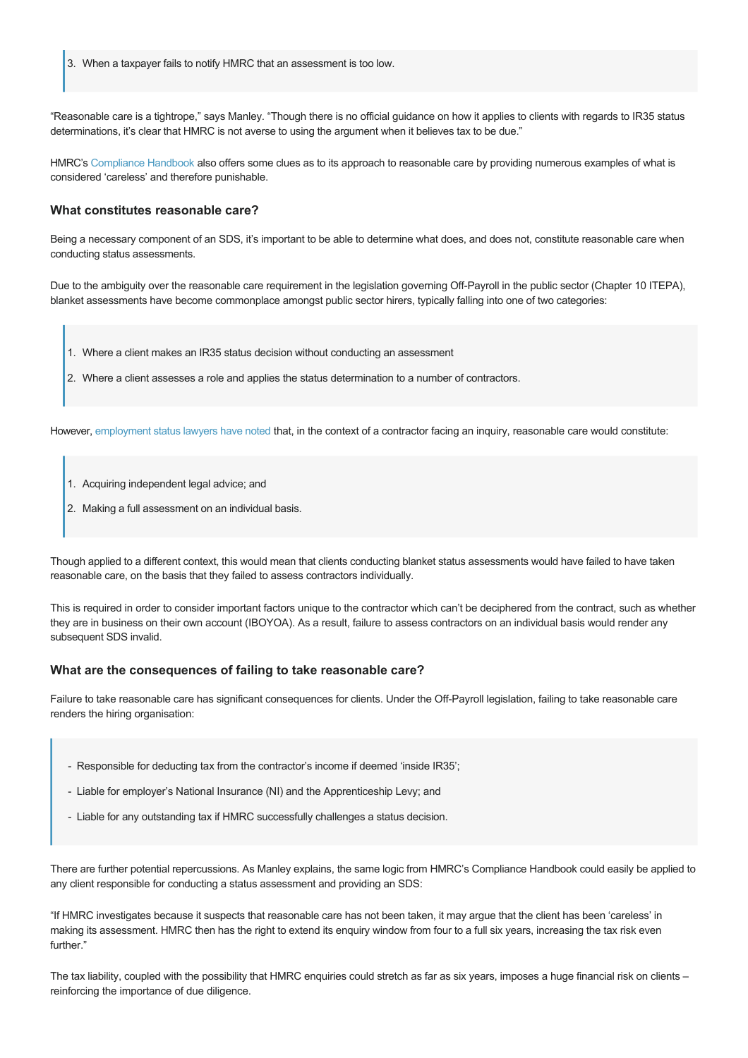3. When a taxpayer fails to notify HMRC that an assessment is too low.

"Reasonable care is a tightrope," says Manley. "Though there is no official guidance on how it applies to clients with regards to IR35 status determinations, it's clear that HMRC is not averse to using the argument when it believes tax to be due."

HMRC's [Compliance Handbook](https://www.gov.uk/hmrc-internal-manuals/compliance-handbook/ch81145) also offers some clues as to its approach to reasonable care by providing numerous examples of what is considered 'careless' and therefore punishable.

#### **What constitutes reasonable care?**

Being a necessary component of an SDS, it's important to be able to determine what does, and does not, constitute reasonable care when conducting status assessments.

Due to the ambiguity over the reasonable care requirement in the legislation governing Off-Payroll in the public sector (Chapter 10 ITEPA). blanket assessments have become commonplace amongst public sector hirers, typically falling into one of two categories:

- 1. Where a client makes an IR35 status decision without conducting an assessment
- 2. Where a client assesses a role and applies the status determination to a number of contractors.

However, [employment status lawyers have noted](https://www.contractorcalculator.co.uk/hmrc_ess_tool_has_legal_authority_ir35_533910_news.aspx) that, in the context of a contractor facing an inquiry, reasonable care would constitute:

- 1. Acquiring independent legal advice; and
- 2. Making a full assessment on an individual basis.

Though applied to a different context, this would mean that clients conducting blanket status assessments would have failed to have taken reasonable care, on the basis that they failed to assess contractors individually.

This is required in order to consider important factors unique to the contractor which can't be deciphered from the contract, such as whether they are in business on their own account (IBOYOA). As a result, failure to assess contractors on an individual basis would render any subsequent SDS invalid.

#### **What are the consequences of failing to take reasonable care?**

Failure to take reasonable care has significant consequences for clients. Under the Off-Payroll legislation, failing to take reasonable care renders the hiring organisation:

- Responsible for deducting tax from the contractor's income if deemed 'inside IR35';
- Liable for employer's National Insurance (NI) and the Apprenticeship Levy; and
- Liable for any outstanding tax if HMRC successfully challenges a status decision.

There are further potential repercussions. As Manley explains, the same logic from HMRC's Compliance Handbook could easily be applied to any client responsible for conducting a status assessment and providing an SDS:

"If HMRC investigates because it suspects that reasonable care has not been taken, it may argue that the client has been 'careless' in making its assessment. HMRC then has the right to extend its enquiry window from four to a full six years, increasing the tax risk even further."

The tax liability, coupled with the possibility that HMRC enquiries could stretch as far as six years, imposes a huge financial risk on clients – reinforcing the importance of due diligence.